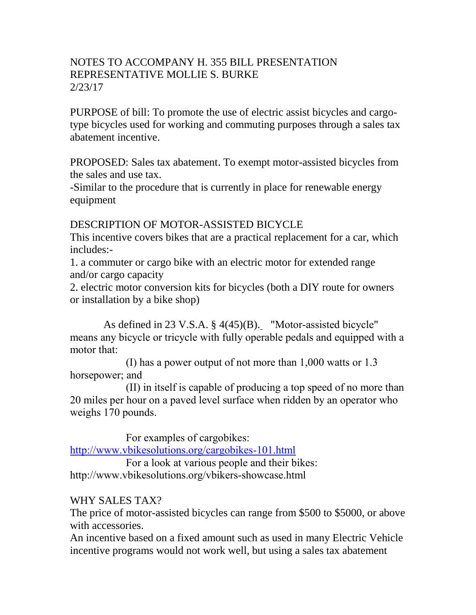## NOTES TO ACCOMPANY H. 355 BILL PRESENTATION REPRESENTATIVE MOLLIE S. BURKE 2/23/17

PURPOSE of bill: To promote the use of electric assist bicycles and cargotype bicycles used for working and commuting purposes through a sales tax abatement incentive.

PROPOSED: Sales tax abatement. To exempt motor-assisted bicycles from the sales and use tax.

-Similar to the procedure that is currently in place for renewable energy equipment

## DESCRIPTION OF MOTOR-ASSISTED BICYCLE

This incentive covers bikes that are a practical replacement for a car, which includes:-

1. a commuter or cargo bike with an electric motor for extended range and/or cargo capacity

2. electric motor conversion kits for bicycles (both a DIY route for owners or installation by a bike shop)

As defined in 23 V.S.A. § 4(45)(B). "Motor-assisted bicycle" means any bicycle or tricycle with fully operable pedals and equipped with a motor that:

(I) has a power output of not more than 1,000 watts or 1.3 horsepower; and

(II) in itself is capable of producing a top speed of no more than 20 miles per hour on a paved level surface when ridden by an operator who weighs 170 pounds.

For examples of cargobikes:

<http://www.vbikesolutions.org/cargobikes-101.html>

For a look at various people and their bikes: http://www.vbikesolutions.org/vbikers-showcase.html

## WHY SALES TAX?

The price of motor-assisted bicycles can range from \$500 to \$5000, or above with accessories.

An incentive based on a fixed amount such as used in many Electric Vehicle incentive programs would not work well, but using a sales tax abatement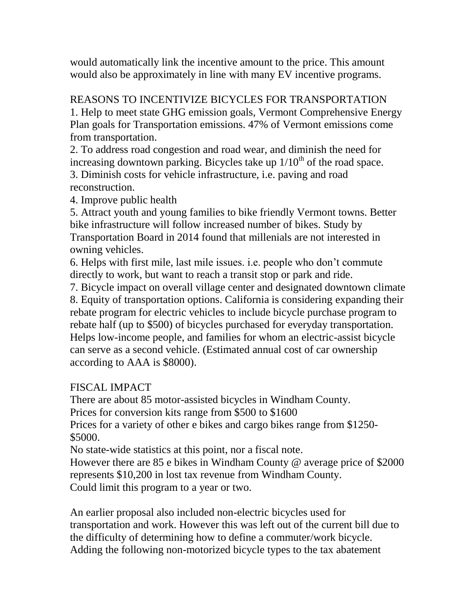would automatically link the incentive amount to the price. This amount would also be approximately in line with many EV incentive programs.

## REASONS TO INCENTIVIZE BICYCLES FOR TRANSPORTATION 1. Help to meet state GHG emission goals, Vermont Comprehensive Energy Plan goals for Transportation emissions. 47% of Vermont emissions come from transportation.

2. To address road congestion and road wear, and diminish the need for increasing downtown parking. Bicycles take up  $1/10<sup>th</sup>$  of the road space. 3. Diminish costs for vehicle infrastructure, i.e. paving and road

reconstruction.

4. Improve public health

5. Attract youth and young families to bike friendly Vermont towns. Better bike infrastructure will follow increased number of bikes. Study by Transportation Board in 2014 found that millenials are not interested in owning vehicles.

6. Helps with first mile, last mile issues. i.e. people who don't commute directly to work, but want to reach a transit stop or park and ride.

7. Bicycle impact on overall village center and designated downtown climate 8. Equity of transportation options. California is considering expanding their rebate program for electric vehicles to include bicycle purchase program to rebate half (up to \$500) of bicycles purchased for everyday transportation. Helps low-income people, and families for whom an electric-assist bicycle can serve as a second vehicle. (Estimated annual cost of car ownership according to AAA is \$8000).

# FISCAL IMPACT

There are about 85 motor-assisted bicycles in Windham County. Prices for conversion kits range from \$500 to \$1600

Prices for a variety of other e bikes and cargo bikes range from \$1250- \$5000.

No state-wide statistics at this point, nor a fiscal note.

However there are 85 e bikes in Windham County @ average price of \$2000 represents \$10,200 in lost tax revenue from Windham County. Could limit this program to a year or two.

An earlier proposal also included non-electric bicycles used for transportation and work. However this was left out of the current bill due to the difficulty of determining how to define a commuter/work bicycle. Adding the following non-motorized bicycle types to the tax abatement